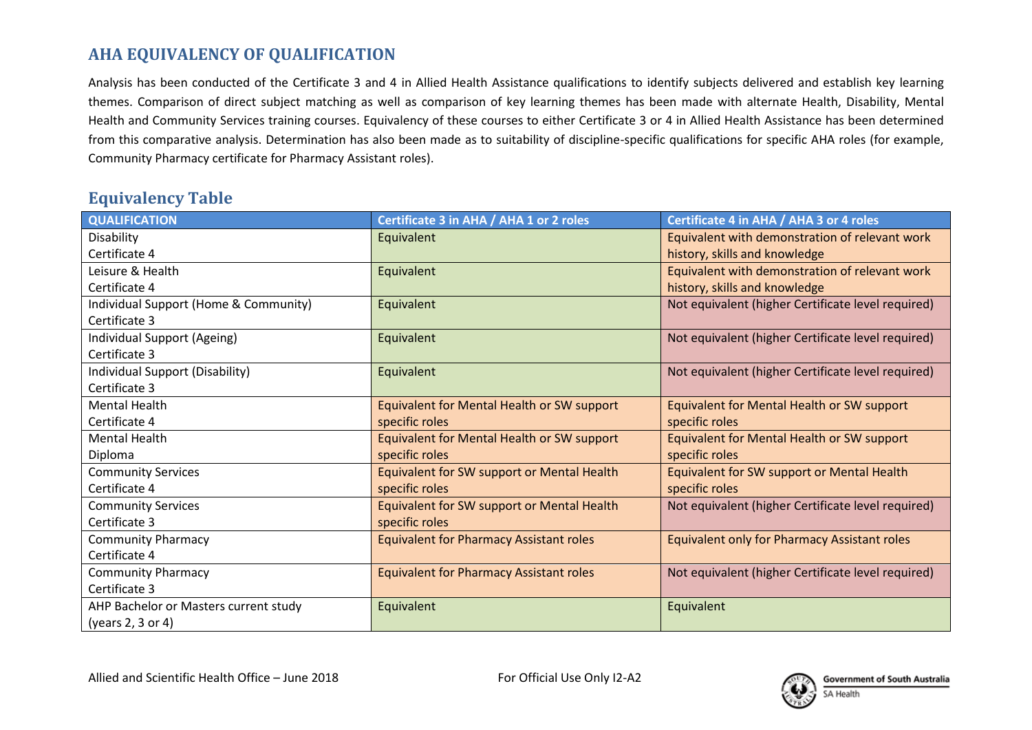## **AHA EQUIVALENCY OF QUALIFICATION**

Analysis has been conducted of the Certificate 3 and 4 in Allied Health Assistance qualifications to identify subjects delivered and establish key learning themes. Comparison of direct subject matching as well as comparison of key learning themes has been made with alternate Health, Disability, Mental Health and Community Services training courses. Equivalency of these courses to either Certificate 3 or 4 in Allied Health Assistance has been determined from this comparative analysis. Determination has also been made as to suitability of discipline-specific qualifications for specific AHA roles (for example, Community Pharmacy certificate for Pharmacy Assistant roles).

## **Equivalency Table**

| <b>QUALIFICATION</b>                  | Certificate 3 in AHA / AHA 1 or 2 roles        | Certificate 4 in AHA / AHA 3 or 4 roles             |
|---------------------------------------|------------------------------------------------|-----------------------------------------------------|
| Disability                            | Equivalent                                     | Equivalent with demonstration of relevant work      |
| Certificate 4                         |                                                | history, skills and knowledge                       |
| Leisure & Health                      | Equivalent                                     | Equivalent with demonstration of relevant work      |
| Certificate 4                         |                                                | history, skills and knowledge                       |
| Individual Support (Home & Community) | Equivalent                                     | Not equivalent (higher Certificate level required)  |
| Certificate 3                         |                                                |                                                     |
| Individual Support (Ageing)           | Equivalent                                     | Not equivalent (higher Certificate level required)  |
| Certificate 3                         |                                                |                                                     |
| Individual Support (Disability)       | Equivalent                                     | Not equivalent (higher Certificate level required)  |
| Certificate 3                         |                                                |                                                     |
| <b>Mental Health</b>                  | Equivalent for Mental Health or SW support     | Equivalent for Mental Health or SW support          |
| Certificate 4                         | specific roles                                 | specific roles                                      |
| <b>Mental Health</b>                  | Equivalent for Mental Health or SW support     | Equivalent for Mental Health or SW support          |
| Diploma                               | specific roles                                 | specific roles                                      |
| <b>Community Services</b>             | Equivalent for SW support or Mental Health     | Equivalent for SW support or Mental Health          |
| Certificate 4                         | specific roles                                 | specific roles                                      |
| <b>Community Services</b>             | Equivalent for SW support or Mental Health     | Not equivalent (higher Certificate level required)  |
| Certificate 3                         | specific roles                                 |                                                     |
| <b>Community Pharmacy</b>             | <b>Equivalent for Pharmacy Assistant roles</b> | <b>Equivalent only for Pharmacy Assistant roles</b> |
| Certificate 4                         |                                                |                                                     |
| <b>Community Pharmacy</b>             | <b>Equivalent for Pharmacy Assistant roles</b> | Not equivalent (higher Certificate level required)  |
| Certificate 3                         |                                                |                                                     |
| AHP Bachelor or Masters current study | Equivalent                                     | Equivalent                                          |
| (years 2, 3 or 4)                     |                                                |                                                     |

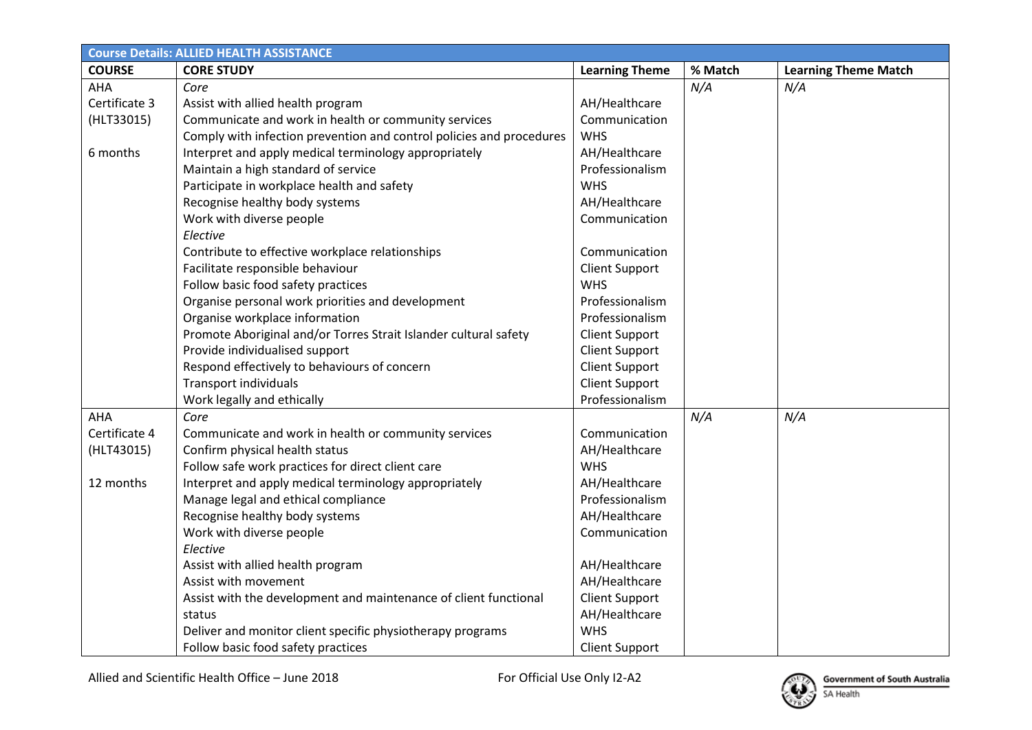| <b>Course Details: ALLIED HEALTH ASSISTANCE</b> |                                                                      |                       |         |                             |  |  |
|-------------------------------------------------|----------------------------------------------------------------------|-----------------------|---------|-----------------------------|--|--|
| <b>COURSE</b>                                   | <b>CORE STUDY</b>                                                    | <b>Learning Theme</b> | % Match | <b>Learning Theme Match</b> |  |  |
| AHA                                             | Core                                                                 |                       | N/A     | N/A                         |  |  |
| Certificate 3                                   | Assist with allied health program                                    | AH/Healthcare         |         |                             |  |  |
| (HLT33015)                                      | Communicate and work in health or community services                 | Communication         |         |                             |  |  |
|                                                 | Comply with infection prevention and control policies and procedures | <b>WHS</b>            |         |                             |  |  |
| 6 months                                        | Interpret and apply medical terminology appropriately                | AH/Healthcare         |         |                             |  |  |
|                                                 | Maintain a high standard of service                                  | Professionalism       |         |                             |  |  |
|                                                 | Participate in workplace health and safety                           | <b>WHS</b>            |         |                             |  |  |
|                                                 | Recognise healthy body systems                                       | AH/Healthcare         |         |                             |  |  |
|                                                 | Work with diverse people                                             | Communication         |         |                             |  |  |
|                                                 | Elective                                                             |                       |         |                             |  |  |
|                                                 | Contribute to effective workplace relationships                      | Communication         |         |                             |  |  |
|                                                 | Facilitate responsible behaviour                                     | <b>Client Support</b> |         |                             |  |  |
|                                                 | Follow basic food safety practices                                   | <b>WHS</b>            |         |                             |  |  |
|                                                 | Organise personal work priorities and development                    | Professionalism       |         |                             |  |  |
|                                                 | Organise workplace information                                       | Professionalism       |         |                             |  |  |
|                                                 | Promote Aboriginal and/or Torres Strait Islander cultural safety     | <b>Client Support</b> |         |                             |  |  |
|                                                 | Provide individualised support                                       | <b>Client Support</b> |         |                             |  |  |
|                                                 | Respond effectively to behaviours of concern                         | <b>Client Support</b> |         |                             |  |  |
|                                                 | <b>Transport individuals</b>                                         | <b>Client Support</b> |         |                             |  |  |
|                                                 | Work legally and ethically                                           | Professionalism       |         |                             |  |  |
| <b>AHA</b>                                      | Core                                                                 |                       | N/A     | N/A                         |  |  |
| Certificate 4                                   | Communicate and work in health or community services                 | Communication         |         |                             |  |  |
| (HLT43015)                                      | Confirm physical health status                                       | AH/Healthcare         |         |                             |  |  |
|                                                 | Follow safe work practices for direct client care                    | <b>WHS</b>            |         |                             |  |  |
| 12 months                                       | Interpret and apply medical terminology appropriately                | AH/Healthcare         |         |                             |  |  |
|                                                 | Manage legal and ethical compliance                                  | Professionalism       |         |                             |  |  |
|                                                 | Recognise healthy body systems                                       | AH/Healthcare         |         |                             |  |  |
|                                                 | Work with diverse people                                             | Communication         |         |                             |  |  |
|                                                 | Elective                                                             |                       |         |                             |  |  |
|                                                 | Assist with allied health program                                    | AH/Healthcare         |         |                             |  |  |
|                                                 | Assist with movement                                                 | AH/Healthcare         |         |                             |  |  |
|                                                 | Assist with the development and maintenance of client functional     | <b>Client Support</b> |         |                             |  |  |
|                                                 | status                                                               | AH/Healthcare         |         |                             |  |  |
|                                                 | Deliver and monitor client specific physiotherapy programs           | <b>WHS</b>            |         |                             |  |  |
|                                                 | Follow basic food safety practices                                   | <b>Client Support</b> |         |                             |  |  |

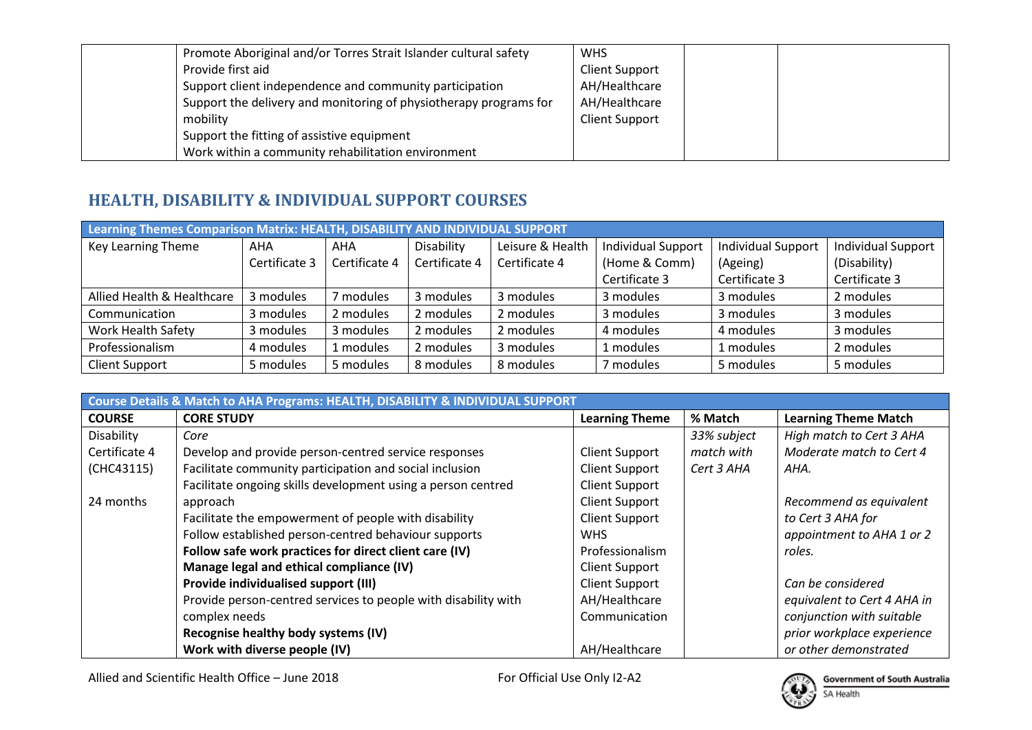| Promote Aboriginal and/or Torres Strait Islander cultural safety  | <b>WHS</b>            |
|-------------------------------------------------------------------|-----------------------|
| Provide first aid                                                 | <b>Client Support</b> |
| Support client independence and community participation           | AH/Healthcare         |
| Support the delivery and monitoring of physiotherapy programs for | AH/Healthcare         |
| mobility                                                          | <b>Client Support</b> |
| Support the fitting of assistive equipment                        |                       |
| Work within a community rehabilitation environment                |                       |

## **HEALTH, DISABILITY & INDIVIDUAL SUPPORT COURSES**

| Learning Themes Comparison Matrix: HEALTH, DISABILITY AND INDIVIDUAL SUPPORT |               |               |               |                  |                           |                           |                           |  |  |
|------------------------------------------------------------------------------|---------------|---------------|---------------|------------------|---------------------------|---------------------------|---------------------------|--|--|
| Key Learning Theme                                                           | AHA           | AHA           | Disability    | Leisure & Health | <b>Individual Support</b> | <b>Individual Support</b> | <b>Individual Support</b> |  |  |
|                                                                              | Certificate 3 | Certificate 4 | Certificate 4 | Certificate 4    | (Home & Comm)             | (Ageing)                  | (Disability)              |  |  |
|                                                                              |               |               |               |                  | Certificate 3             | Certificate 3             | Certificate 3             |  |  |
| Allied Health & Healthcare                                                   | 3 modules     | modules       | 3 modules     | 3 modules        | 3 modules                 | 3 modules                 | 2 modules                 |  |  |
| Communication                                                                | 3 modules     | 2 modules     | 2 modules     | 2 modules        | 3 modules                 | 3 modules                 | 3 modules                 |  |  |
| <b>Work Health Safety</b>                                                    | 3 modules     | 3 modules     | 2 modules     | 2 modules        | 4 modules                 | 4 modules                 | 3 modules                 |  |  |
| Professionalism                                                              | 4 modules     | 1 modules     | 2 modules     | 3 modules        | 1 modules                 | 1 modules                 | 2 modules                 |  |  |
| <b>Client Support</b>                                                        | 5 modules     | 5 modules     | 8 modules     | 8 modules        | 7 modules                 | 5 modules                 | 5 modules                 |  |  |

| Course Details & Match to AHA Programs: HEALTH, DISABILITY & INDIVIDUAL SUPPORT |                                                                |                       |             |                             |  |  |
|---------------------------------------------------------------------------------|----------------------------------------------------------------|-----------------------|-------------|-----------------------------|--|--|
| <b>COURSE</b>                                                                   | <b>CORE STUDY</b>                                              | <b>Learning Theme</b> | % Match     | <b>Learning Theme Match</b> |  |  |
| Disability                                                                      | Core                                                           |                       | 33% subject | High match to Cert 3 AHA    |  |  |
| Certificate 4                                                                   | Develop and provide person-centred service responses           | <b>Client Support</b> | match with  | Moderate match to Cert 4    |  |  |
| (CHC43115)                                                                      | Facilitate community participation and social inclusion        | <b>Client Support</b> | Cert 3 AHA  | AHA.                        |  |  |
|                                                                                 | Facilitate ongoing skills development using a person centred   | <b>Client Support</b> |             |                             |  |  |
| 24 months                                                                       | approach                                                       | <b>Client Support</b> |             | Recommend as equivalent     |  |  |
|                                                                                 | Facilitate the empowerment of people with disability           | <b>Client Support</b> |             | to Cert 3 AHA for           |  |  |
|                                                                                 | Follow established person-centred behaviour supports           | <b>WHS</b>            |             | appointment to AHA 1 or 2   |  |  |
|                                                                                 | Follow safe work practices for direct client care (IV)         | Professionalism       |             | roles.                      |  |  |
|                                                                                 | Manage legal and ethical compliance (IV)                       | <b>Client Support</b> |             |                             |  |  |
|                                                                                 | Provide individualised support (III)                           | <b>Client Support</b> |             | Can be considered           |  |  |
|                                                                                 | Provide person-centred services to people with disability with | AH/Healthcare         |             | equivalent to Cert 4 AHA in |  |  |
|                                                                                 | complex needs                                                  | Communication         |             | conjunction with suitable   |  |  |
|                                                                                 | Recognise healthy body systems (IV)                            |                       |             | prior workplace experience  |  |  |
|                                                                                 | Work with diverse people (IV)                                  | AH/Healthcare         |             | or other demonstrated       |  |  |

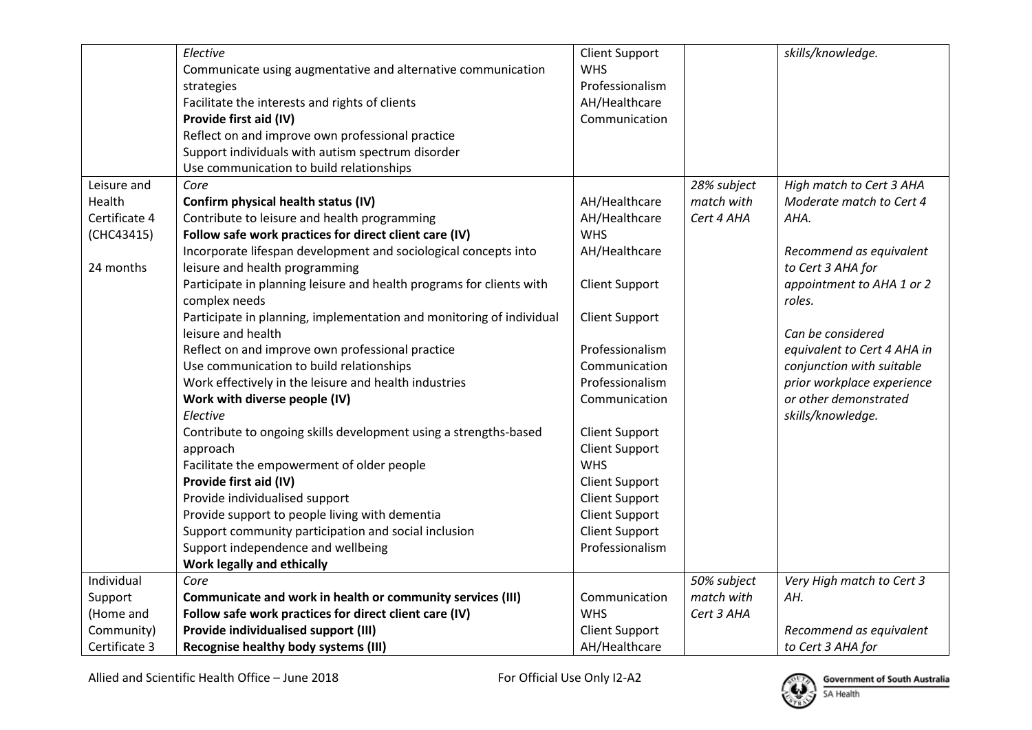|               | Elective                                                             | <b>Client Support</b> |             | skills/knowledge.           |
|---------------|----------------------------------------------------------------------|-----------------------|-------------|-----------------------------|
|               | Communicate using augmentative and alternative communication         | <b>WHS</b>            |             |                             |
|               | strategies                                                           | Professionalism       |             |                             |
|               | Facilitate the interests and rights of clients                       | AH/Healthcare         |             |                             |
|               | Provide first aid (IV)                                               | Communication         |             |                             |
|               | Reflect on and improve own professional practice                     |                       |             |                             |
|               | Support individuals with autism spectrum disorder                    |                       |             |                             |
|               | Use communication to build relationships                             |                       |             |                             |
| Leisure and   | Core                                                                 |                       | 28% subject | High match to Cert 3 AHA    |
| Health        | Confirm physical health status (IV)                                  | AH/Healthcare         | match with  | Moderate match to Cert 4    |
| Certificate 4 | Contribute to leisure and health programming                         | AH/Healthcare         | Cert 4 AHA  | AHA.                        |
| (CHC43415)    | Follow safe work practices for direct client care (IV)               | <b>WHS</b>            |             |                             |
|               | Incorporate lifespan development and sociological concepts into      | AH/Healthcare         |             | Recommend as equivalent     |
| 24 months     | leisure and health programming                                       |                       |             | to Cert 3 AHA for           |
|               | Participate in planning leisure and health programs for clients with | <b>Client Support</b> |             | appointment to AHA 1 or 2   |
|               | complex needs                                                        |                       |             | roles.                      |
|               | Participate in planning, implementation and monitoring of individual | <b>Client Support</b> |             |                             |
|               | leisure and health                                                   |                       |             | Can be considered           |
|               | Reflect on and improve own professional practice                     | Professionalism       |             | equivalent to Cert 4 AHA in |
|               | Use communication to build relationships                             | Communication         |             | conjunction with suitable   |
|               | Work effectively in the leisure and health industries                | Professionalism       |             | prior workplace experience  |
|               | Work with diverse people (IV)                                        | Communication         |             | or other demonstrated       |
|               | Elective                                                             |                       |             | skills/knowledge.           |
|               | Contribute to ongoing skills development using a strengths-based     | <b>Client Support</b> |             |                             |
|               | approach                                                             | <b>Client Support</b> |             |                             |
|               | Facilitate the empowerment of older people                           | <b>WHS</b>            |             |                             |
|               | Provide first aid (IV)                                               | <b>Client Support</b> |             |                             |
|               | Provide individualised support                                       | <b>Client Support</b> |             |                             |
|               | Provide support to people living with dementia                       | <b>Client Support</b> |             |                             |
|               | Support community participation and social inclusion                 | <b>Client Support</b> |             |                             |
|               | Support independence and wellbeing                                   | Professionalism       |             |                             |
|               | <b>Work legally and ethically</b>                                    |                       |             |                             |
| Individual    | Core                                                                 |                       | 50% subject | Very High match to Cert 3   |
| Support       | Communicate and work in health or community services (III)           | Communication         | match with  | AH.                         |
| (Home and     | Follow safe work practices for direct client care (IV)               | <b>WHS</b>            | Cert 3 AHA  |                             |
| Community)    | Provide individualised support (III)                                 | <b>Client Support</b> |             | Recommend as equivalent     |
| Certificate 3 | Recognise healthy body systems (III)                                 | AH/Healthcare         |             | to Cert 3 AHA for           |

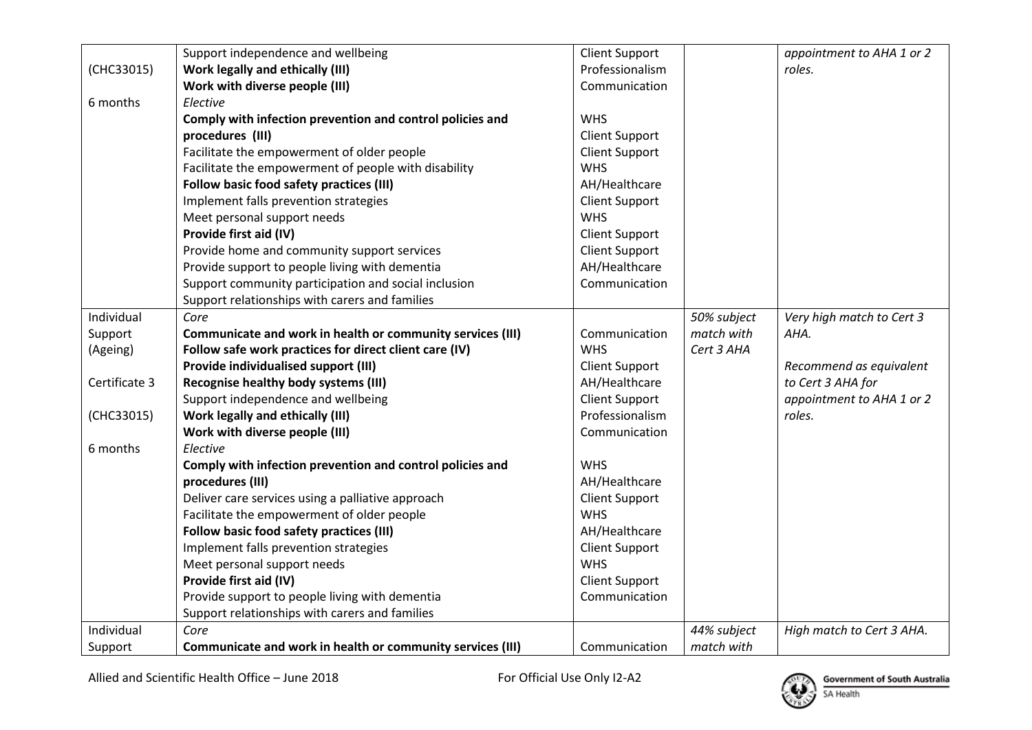|               | Support independence and wellbeing                         | <b>Client Support</b> |             | appointment to AHA 1 or 2 |
|---------------|------------------------------------------------------------|-----------------------|-------------|---------------------------|
| (CHC33015)    | <b>Work legally and ethically (III)</b>                    | Professionalism       |             | roles.                    |
|               | Work with diverse people (III)                             | Communication         |             |                           |
| 6 months      | Elective                                                   |                       |             |                           |
|               | Comply with infection prevention and control policies and  | <b>WHS</b>            |             |                           |
|               | procedures (III)                                           | <b>Client Support</b> |             |                           |
|               | Facilitate the empowerment of older people                 | <b>Client Support</b> |             |                           |
|               | Facilitate the empowerment of people with disability       | <b>WHS</b>            |             |                           |
|               | Follow basic food safety practices (III)                   | AH/Healthcare         |             |                           |
|               | Implement falls prevention strategies                      | <b>Client Support</b> |             |                           |
|               | Meet personal support needs                                | <b>WHS</b>            |             |                           |
|               | Provide first aid (IV)                                     | <b>Client Support</b> |             |                           |
|               | Provide home and community support services                | <b>Client Support</b> |             |                           |
|               | Provide support to people living with dementia             | AH/Healthcare         |             |                           |
|               | Support community participation and social inclusion       | Communication         |             |                           |
|               | Support relationships with carers and families             |                       |             |                           |
| Individual    | Core                                                       |                       | 50% subject | Very high match to Cert 3 |
| Support       | Communicate and work in health or community services (III) | Communication         | match with  | AHA.                      |
| (Ageing)      | Follow safe work practices for direct client care (IV)     | <b>WHS</b>            | Cert 3 AHA  |                           |
|               | Provide individualised support (III)                       | <b>Client Support</b> |             | Recommend as equivalent   |
| Certificate 3 | Recognise healthy body systems (III)                       | AH/Healthcare         |             | to Cert 3 AHA for         |
|               | Support independence and wellbeing                         | <b>Client Support</b> |             | appointment to AHA 1 or 2 |
| (CHC33015)    | <b>Work legally and ethically (III)</b>                    | Professionalism       |             | roles.                    |
|               | Work with diverse people (III)                             | Communication         |             |                           |
| 6 months      | Elective                                                   |                       |             |                           |
|               | Comply with infection prevention and control policies and  | <b>WHS</b>            |             |                           |
|               | procedures (III)                                           | AH/Healthcare         |             |                           |
|               | Deliver care services using a palliative approach          | <b>Client Support</b> |             |                           |
|               | Facilitate the empowerment of older people                 | <b>WHS</b>            |             |                           |
|               | Follow basic food safety practices (III)                   | AH/Healthcare         |             |                           |
|               | Implement falls prevention strategies                      | <b>Client Support</b> |             |                           |
|               | Meet personal support needs                                | <b>WHS</b>            |             |                           |
|               | Provide first aid (IV)                                     | <b>Client Support</b> |             |                           |
|               | Provide support to people living with dementia             | Communication         |             |                           |
|               | Support relationships with carers and families             |                       |             |                           |
| Individual    | Core                                                       |                       | 44% subject | High match to Cert 3 AHA. |
| Support       | Communicate and work in health or community services (III) | Communication         | match with  |                           |

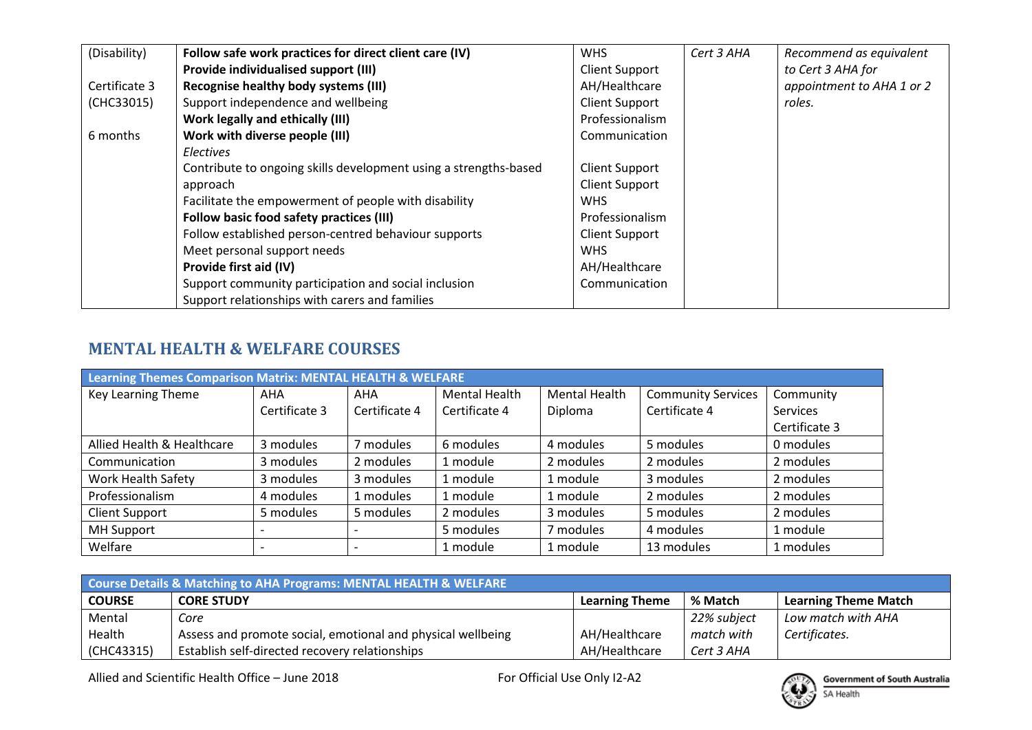| (Disability)  | Follow safe work practices for direct client care (IV)           | <b>WHS</b>            | Cert 3 AHA | Recommend as equivalent   |
|---------------|------------------------------------------------------------------|-----------------------|------------|---------------------------|
|               | Provide individualised support (III)                             | <b>Client Support</b> |            | to Cert 3 AHA for         |
| Certificate 3 | Recognise healthy body systems (III)                             | AH/Healthcare         |            | appointment to AHA 1 or 2 |
| (CHC33015)    | Support independence and wellbeing                               | <b>Client Support</b> |            | roles.                    |
|               | Work legally and ethically (III)                                 | Professionalism       |            |                           |
| 6 months      | Work with diverse people (III)                                   | Communication         |            |                           |
|               | <b>Electives</b>                                                 |                       |            |                           |
|               | Contribute to ongoing skills development using a strengths-based | <b>Client Support</b> |            |                           |
|               | approach                                                         | <b>Client Support</b> |            |                           |
|               | Facilitate the empowerment of people with disability             | <b>WHS</b>            |            |                           |
|               | Follow basic food safety practices (III)                         | Professionalism       |            |                           |
|               | Follow established person-centred behaviour supports             | <b>Client Support</b> |            |                           |
|               | Meet personal support needs                                      | <b>WHS</b>            |            |                           |
|               | Provide first aid (IV)                                           | AH/Healthcare         |            |                           |
|               | Support community participation and social inclusion             | Communication         |            |                           |
|               | Support relationships with carers and families                   |                       |            |                           |

## **MENTAL HEALTH & WELFARE COURSES**

| Learning Themes Comparison Matrix: MENTAL HEALTH & WELFARE |               |                          |               |                      |                           |                 |  |
|------------------------------------------------------------|---------------|--------------------------|---------------|----------------------|---------------------------|-----------------|--|
| Key Learning Theme                                         | <b>AHA</b>    | <b>AHA</b>               | Mental Health | <b>Mental Health</b> | <b>Community Services</b> | Community       |  |
|                                                            | Certificate 3 | Certificate 4            | Certificate 4 | Diploma              | Certificate 4             | <b>Services</b> |  |
|                                                            |               |                          |               |                      |                           | Certificate 3   |  |
| Allied Health & Healthcare                                 | 3 modules     | 7 modules                | 6 modules     | 4 modules            | 5 modules                 | 0 modules       |  |
| Communication                                              | 3 modules     | 2 modules                | 1 module      | 2 modules            | 2 modules                 | 2 modules       |  |
| <b>Work Health Safety</b>                                  | 3 modules     | 3 modules                | 1 module      | 1 module             | 3 modules                 | 2 modules       |  |
| Professionalism                                            | 4 modules     | 1 modules                | 1 module      | 1 module             | 2 modules                 | 2 modules       |  |
| <b>Client Support</b>                                      | 5 modules     | 5 modules                | 2 modules     | 3 modules            | 5 modules                 | 2 modules       |  |
| <b>MH Support</b>                                          |               |                          | 5 modules     | 7 modules            | 4 modules                 | 1 module        |  |
| Welfare                                                    |               | $\overline{\phantom{0}}$ | 1 module      | 1 module             | 13 modules                | 1 modules       |  |

| <b>Course Details &amp; Matching to AHA Programs: MENTAL HEALTH &amp; WELFARE</b> |                                                             |                       |             |                             |  |  |
|-----------------------------------------------------------------------------------|-------------------------------------------------------------|-----------------------|-------------|-----------------------------|--|--|
| <b>COURSE</b>                                                                     | <b>CORE STUDY</b>                                           | <b>Learning Theme</b> | % Match     | <b>Learning Theme Match</b> |  |  |
| Mental                                                                            | Core                                                        |                       | 22% subject | Low match with AHA          |  |  |
| Health                                                                            | Assess and promote social, emotional and physical wellbeing | AH/Healthcare         | match with  | Certificates.               |  |  |
| (CHC43315)                                                                        | Establish self-directed recovery relationships              | AH/Healthcare         | Cert 3 AHA  |                             |  |  |

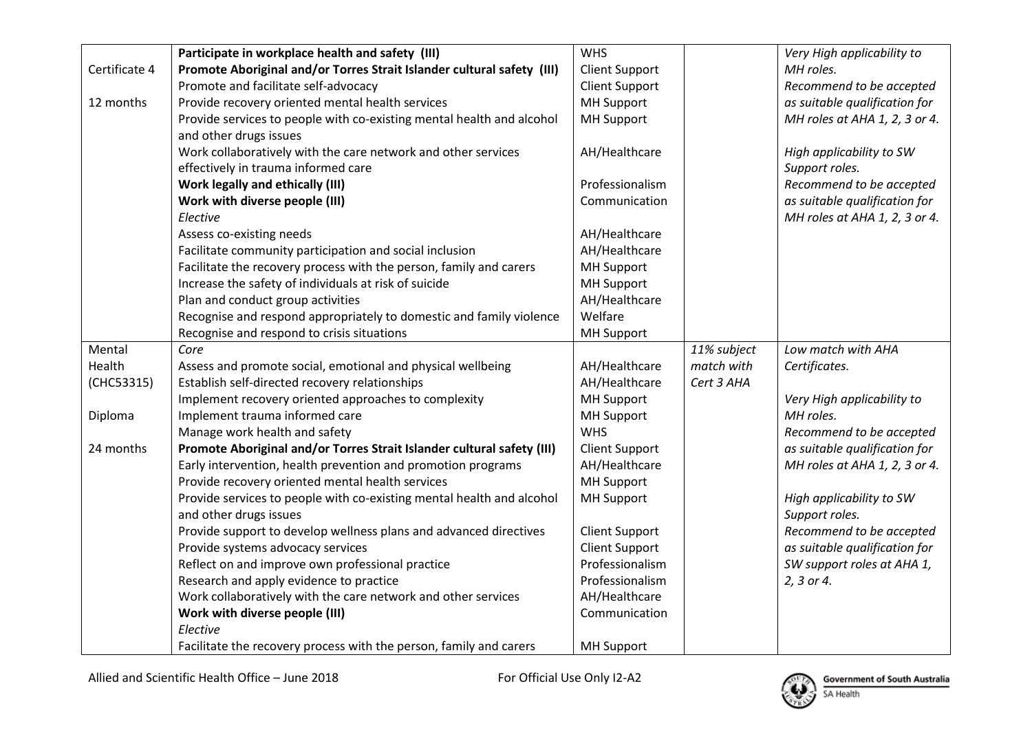|               | Participate in workplace health and safety (III)                       | <b>WHS</b>            |             | Very High applicability to    |
|---------------|------------------------------------------------------------------------|-----------------------|-------------|-------------------------------|
| Certificate 4 | Promote Aboriginal and/or Torres Strait Islander cultural safety (III) | <b>Client Support</b> |             | MH roles.                     |
|               | Promote and facilitate self-advocacy                                   | <b>Client Support</b> |             | Recommend to be accepted      |
| 12 months     | Provide recovery oriented mental health services                       | <b>MH Support</b>     |             | as suitable qualification for |
|               | Provide services to people with co-existing mental health and alcohol  | <b>MH Support</b>     |             | MH roles at AHA 1, 2, 3 or 4. |
|               | and other drugs issues                                                 |                       |             |                               |
|               | Work collaboratively with the care network and other services          | AH/Healthcare         |             | High applicability to SW      |
|               | effectively in trauma informed care                                    |                       |             | Support roles.                |
|               | <b>Work legally and ethically (III)</b>                                | Professionalism       |             | Recommend to be accepted      |
|               | Work with diverse people (III)                                         | Communication         |             | as suitable qualification for |
|               | Elective                                                               |                       |             | MH roles at AHA 1, 2, 3 or 4. |
|               | Assess co-existing needs                                               | AH/Healthcare         |             |                               |
|               | Facilitate community participation and social inclusion                | AH/Healthcare         |             |                               |
|               | Facilitate the recovery process with the person, family and carers     | <b>MH Support</b>     |             |                               |
|               | Increase the safety of individuals at risk of suicide                  | <b>MH Support</b>     |             |                               |
|               | Plan and conduct group activities                                      | AH/Healthcare         |             |                               |
|               | Recognise and respond appropriately to domestic and family violence    | Welfare               |             |                               |
|               | Recognise and respond to crisis situations                             | <b>MH Support</b>     |             |                               |
| Mental        | Core                                                                   |                       | 11% subject | Low match with AHA            |
| Health        | Assess and promote social, emotional and physical wellbeing            | AH/Healthcare         | match with  | Certificates.                 |
| (CHC53315)    | Establish self-directed recovery relationships                         | AH/Healthcare         | Cert 3 AHA  |                               |
|               | Implement recovery oriented approaches to complexity                   | <b>MH Support</b>     |             | Very High applicability to    |
| Diploma       | Implement trauma informed care                                         | <b>MH Support</b>     |             | MH roles.                     |
|               | Manage work health and safety                                          | <b>WHS</b>            |             | Recommend to be accepted      |
| 24 months     | Promote Aboriginal and/or Torres Strait Islander cultural safety (III) | <b>Client Support</b> |             | as suitable qualification for |
|               | Early intervention, health prevention and promotion programs           | AH/Healthcare         |             | MH roles at AHA 1, 2, 3 or 4. |
|               | Provide recovery oriented mental health services                       | <b>MH Support</b>     |             |                               |
|               | Provide services to people with co-existing mental health and alcohol  | <b>MH Support</b>     |             | High applicability to SW      |
|               | and other drugs issues                                                 |                       |             | Support roles.                |
|               | Provide support to develop wellness plans and advanced directives      | <b>Client Support</b> |             | Recommend to be accepted      |
|               | Provide systems advocacy services                                      | <b>Client Support</b> |             | as suitable qualification for |
|               | Reflect on and improve own professional practice                       | Professionalism       |             | SW support roles at AHA 1,    |
|               | Research and apply evidence to practice                                | Professionalism       |             | 2, 3 or 4.                    |
|               | Work collaboratively with the care network and other services          | AH/Healthcare         |             |                               |
|               | Work with diverse people (III)                                         | Communication         |             |                               |
|               | Elective                                                               |                       |             |                               |
|               | Facilitate the recovery process with the person, family and carers     | <b>MH Support</b>     |             |                               |

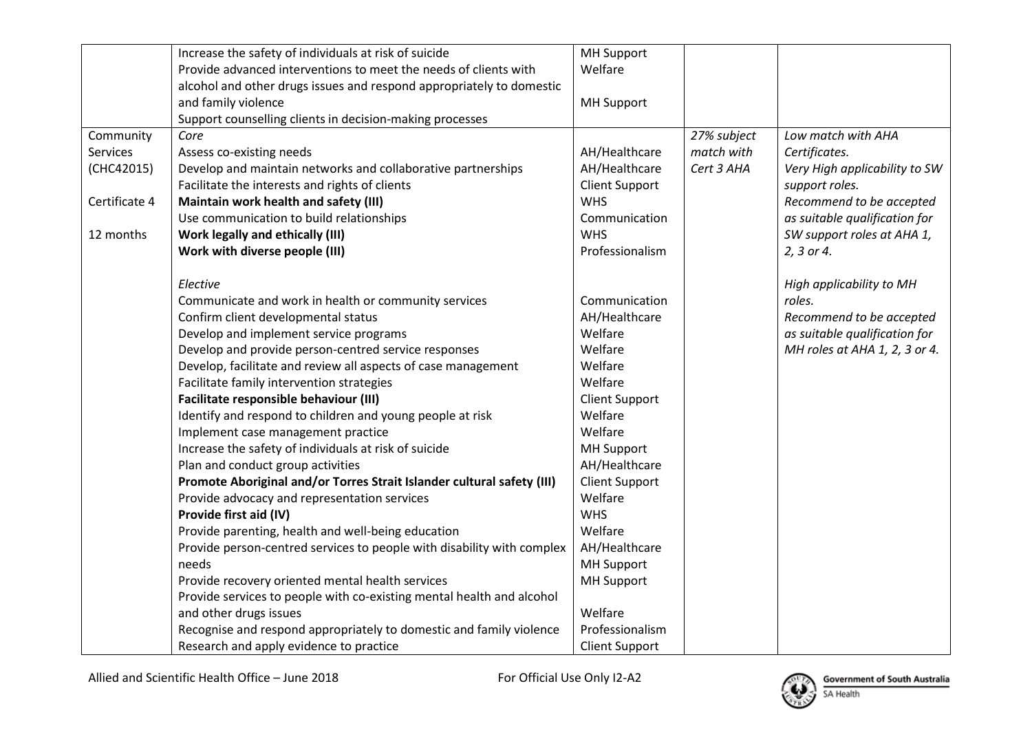|               | Increase the safety of individuals at risk of suicide                  | <b>MH Support</b>     |             |                               |
|---------------|------------------------------------------------------------------------|-----------------------|-------------|-------------------------------|
|               | Provide advanced interventions to meet the needs of clients with       | Welfare               |             |                               |
|               | alcohol and other drugs issues and respond appropriately to domestic   |                       |             |                               |
|               | and family violence                                                    | <b>MH Support</b>     |             |                               |
|               | Support counselling clients in decision-making processes               |                       |             |                               |
| Community     | Core                                                                   |                       | 27% subject | Low match with AHA            |
| Services      | Assess co-existing needs                                               | AH/Healthcare         | match with  | Certificates.                 |
| (CHC42015)    | Develop and maintain networks and collaborative partnerships           | AH/Healthcare         | Cert 3 AHA  | Very High applicability to SW |
|               | Facilitate the interests and rights of clients                         | <b>Client Support</b> |             | support roles.                |
| Certificate 4 | Maintain work health and safety (III)                                  | <b>WHS</b>            |             | Recommend to be accepted      |
|               | Use communication to build relationships                               | Communication         |             | as suitable qualification for |
| 12 months     | <b>Work legally and ethically (III)</b>                                | <b>WHS</b>            |             | SW support roles at AHA 1,    |
|               | Work with diverse people (III)                                         | Professionalism       |             | 2, 3 or 4.                    |
|               | Elective                                                               |                       |             | High applicability to MH      |
|               | Communicate and work in health or community services                   | Communication         |             | roles.                        |
|               | Confirm client developmental status                                    | AH/Healthcare         |             | Recommend to be accepted      |
|               | Develop and implement service programs                                 | Welfare               |             | as suitable qualification for |
|               | Develop and provide person-centred service responses                   | Welfare               |             | MH roles at AHA 1, 2, 3 or 4. |
|               | Develop, facilitate and review all aspects of case management          | Welfare               |             |                               |
|               | Facilitate family intervention strategies                              | Welfare               |             |                               |
|               | Facilitate responsible behaviour (III)                                 | <b>Client Support</b> |             |                               |
|               | Identify and respond to children and young people at risk              | Welfare               |             |                               |
|               | Implement case management practice                                     | Welfare               |             |                               |
|               | Increase the safety of individuals at risk of suicide                  | <b>MH Support</b>     |             |                               |
|               | Plan and conduct group activities                                      | AH/Healthcare         |             |                               |
|               | Promote Aboriginal and/or Torres Strait Islander cultural safety (III) | <b>Client Support</b> |             |                               |
|               | Provide advocacy and representation services                           | Welfare               |             |                               |
|               | Provide first aid (IV)                                                 | <b>WHS</b>            |             |                               |
|               | Provide parenting, health and well-being education                     | Welfare               |             |                               |
|               | Provide person-centred services to people with disability with complex | AH/Healthcare         |             |                               |
|               | needs                                                                  | <b>MH Support</b>     |             |                               |
|               | Provide recovery oriented mental health services                       | <b>MH Support</b>     |             |                               |
|               | Provide services to people with co-existing mental health and alcohol  |                       |             |                               |
|               | and other drugs issues                                                 | Welfare               |             |                               |
|               | Recognise and respond appropriately to domestic and family violence    | Professionalism       |             |                               |
|               | Research and apply evidence to practice                                | <b>Client Support</b> |             |                               |